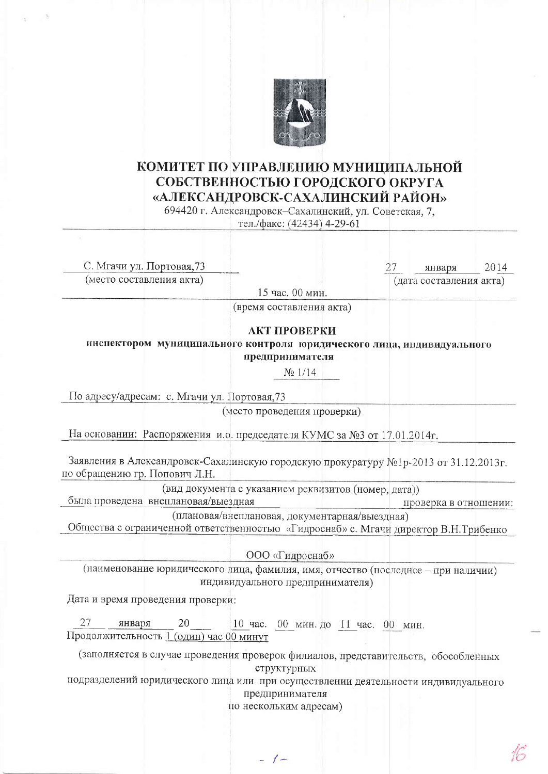

## КОМИТЕТ ПО УПРАВЛЕНИЮ МУНИЦИПАЛЬНОЙ СОБСТВЕННОСТЬЮ ГОРОДСКОГО ОКРУГА «АЛЕКСАНДРОВСК-САХАЛИНСКИЙ РАЙОН»

694420 г. Александровск-Сахалинский, ул. Советская, 7,

тел./факс: (42434) 4-29-61

| С. Мгачи ул. Портовая, 73                                                           |                                                      | 2014<br>27<br>января                                                                 |
|-------------------------------------------------------------------------------------|------------------------------------------------------|--------------------------------------------------------------------------------------|
| (место составления акта)                                                            |                                                      | (дата составления акта)                                                              |
|                                                                                     | 15 час. 00 мин.                                      |                                                                                      |
|                                                                                     | (время составления акта)                             |                                                                                      |
|                                                                                     | АКТ ПРОВЕРКИ                                         |                                                                                      |
|                                                                                     |                                                      | инспектором муниципального контроля юридического лица, индивидуального               |
|                                                                                     | предпринимателя                                      |                                                                                      |
|                                                                                     | $N_2$ 1/14                                           |                                                                                      |
|                                                                                     |                                                      |                                                                                      |
| По адресу/адресам: с. Мгачи ул. Портовая, 73                                        |                                                      |                                                                                      |
|                                                                                     | (место проведения проверки)                          |                                                                                      |
| На основании: Распоряжения и.о. председателя КУМС за №3 от 17.01.2014г.             |                                                      |                                                                                      |
|                                                                                     |                                                      |                                                                                      |
|                                                                                     |                                                      | Заявления в Александровск-Сахалинскую городскую прокуратуру №1р-2013 от 31.12.2013г. |
| по обращению гр. Попович Л.Н.                                                       |                                                      |                                                                                      |
|                                                                                     | (вид документа с указанием реквизитов (номер, дата)) |                                                                                      |
| была проведена внеплановая/выездная                                                 |                                                      | проверка в отношении:                                                                |
| Общества с ограниченной ответственностью «Гидроснаб» с. Мгачи директор В.Н.Трибенко | (плановая/внеплановая, документарная/выездная)       |                                                                                      |
|                                                                                     |                                                      |                                                                                      |
|                                                                                     | ООО «Гидроснаб»                                      |                                                                                      |
|                                                                                     |                                                      | (наименование юридического лица, фамилия, имя, отчество (последнее - при наличии)    |
|                                                                                     | индивидуального предпринимателя)                     |                                                                                      |
| Дата и время проведения проверки:                                                   |                                                      |                                                                                      |
|                                                                                     |                                                      |                                                                                      |
| 27<br>20<br>января                                                                  | $10$ час.<br>00 мин. до 11 час. 00 мин.              |                                                                                      |
| Продолжительность 1 (один) час 00 минут                                             |                                                      |                                                                                      |
|                                                                                     |                                                      | (заполняется в случае проведения проверок филиалов, представительств, обособленных   |
|                                                                                     | структурных                                          |                                                                                      |
| подразделений юридического лица или при осуществлении деятельности индивидуального  |                                                      |                                                                                      |
|                                                                                     | предпринимателя<br>по нескольким адресам)            |                                                                                      |
|                                                                                     |                                                      |                                                                                      |

 $-1$ 

 $16$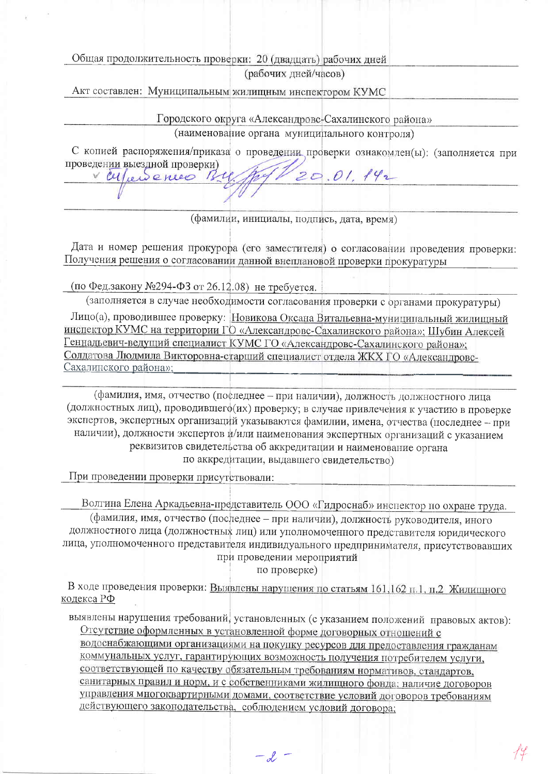Общая продолжительность проверки: 20 (двадцать) рабочих дней

(рабочих дней/часов)

Акт составлен: Муниципальным жилищным инспектором КУМС

Городского округа «Александровс-Сахалинского района»

(наименование органа муниципального контроля)

С копией распоряжения/приказа о проведении проверки ознакомлен(ы): (заполняется при проведении выездной проверки)  $20.01.142$ 

(фамилии, инициалы, подпись, дата, время)

Дата и номер решения прокурора (его заместителя) о согласовании проведения проверки: Получения решения о согласовании данной внеплановой проверки прокуратуры

(по Фед.закону №294-ФЗ от 26.12.08) не требуется.

vertiersences

(заполняется в случае необходимости согласования проверки с органами прокуратуры) Лицо(а), проводившее проверку: Новикова Оксана Витальевна-муниципальный жилищный инспектор КУМС на территории ГО «Александровс-Сахалинского района»; Шубин Алексей Геннадьевич-ведущий специалист КУМС ГО «Александровс-Сахалинского района»; Солдатова Людмила Викторовна-старший специалист отдела ЖКХ ГО «Александровс-Сахалинского района»;

(фамилия, имя, отчество (последнее - при наличии), должность должностного лица (должностных лиц), проводившего (их) проверку; в случае привлечения к участию в проверке экспертов, экспертных организаций указываются фамилии, имена, отчества (последнее - при наличии), должности экспертов и/или наименования экспертных организаций с указанием реквизитов свидетельства об аккредитации и наименование органа по аккредитации, выдавшего свидетельство)

При проведении проверки присутствовали:

Волгина Елена Аркадьевна-представитель ООО «Гидроснаб» инспектор по охране труда.

(фамилия, имя, отчество (последнее - при наличии), должность руководителя, иного должностного лица (должностных лиц) или уполномоченного представителя юридического лица, уполномоченного представителя индивидуального предпринимателя, присутствовавших при проведении мероприятий

по проверке)

В ходе проведения проверки: Выявлены нарушения по статьям 161,162 п.1, п.2 Жилищного кодекса РФ

выявлены нарушения требований, установленных (с указанием положений правовых актов): Отсутствие оформленных в установленной форме договорных отношений с

водоснабжающими организациями на покупку ресурсов для предоставления гражданам коммунальных услуг, гарантирующих возможность получения потребителем услуги, соответствующей по качеству обязательным требованиям нормативов, стандартов, санитарных правил и норм, и с собственниками жилищного фонда; наличие договоров управления многоквартирными домами, соответствие условий договоров требованиям действующего законодательства, соблюдением условий договора;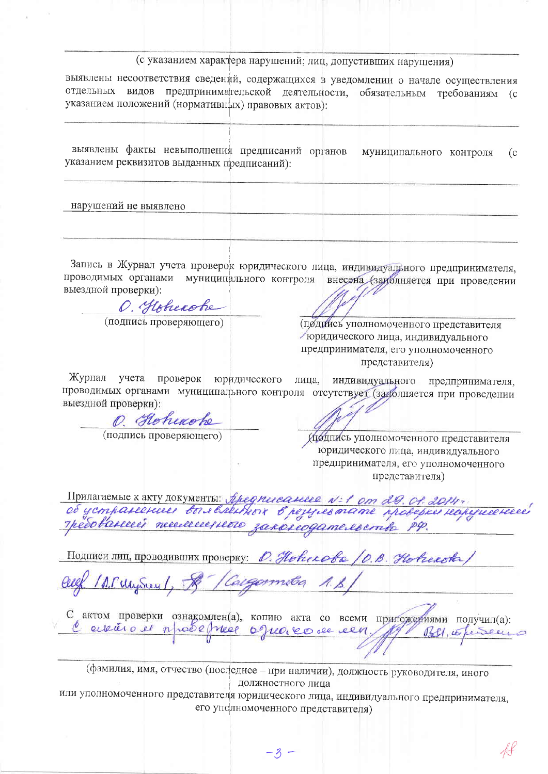## (с указанием характера нарушений; лиц, допустивших нарушения)

выявлены несоответствия сведений, содержащихся в уведомлении о начале осуществления отдельных видов предпринимательской деятельности, обязательным требованиям (с указанием положений (нормативных) правовых актов):

выявлены факты невыполнения предписаний органов муниципального контроля  $(c)$ указанием реквизитов выданных предписаний):

нарушений не выявлено

Запись в Журнал учета проверок юридического лица, индивидуального предпринимателя, проводимых органами муниципального контроля внесена (заиблияется при проведении выездной проверки):

O. Hoberobe (подпись проверяющего)

(подинсь уполномоченного представителя поридического лица, индивидуального предпринимателя, его уполномоченного представителя)

Журнал учета проверок юридического индивидуального предпринимателя, лица, проводимых органами муниципального контроля отсутствует (заролняется при проведении выездной проверки):

O. Hoheache

(подпись проверяющего)

Ирянись уполномоченного представителя юридического лица, индивидуального предпринимателя, его уполномоченного представителя)

Припагаемые к акту документы: Аредписание N:1 от 29.01.2014;<br>об устранение с вы вленных в резулевтате проверке нарушение<br>пребованией тегиченные законодательство РФ.

Подписи лиц, проводивших проверку: О. Новекова /О.В. Новекова

ID. Musical, & Caegormita 1.B.

С актом проверки ознакомлен(а), копию акта со всеми приложениями получил(а): l'ensuis de npôse prése oguaise de cen Bell, coheseur

(фамилия, имя, отчество (последнее - при наличии), должность руководителя, иного должностного лица

или уполномоченного представителя юридического лица, индивидуального предпринимателя, его уполномоченного представителя)

 $-3 -$